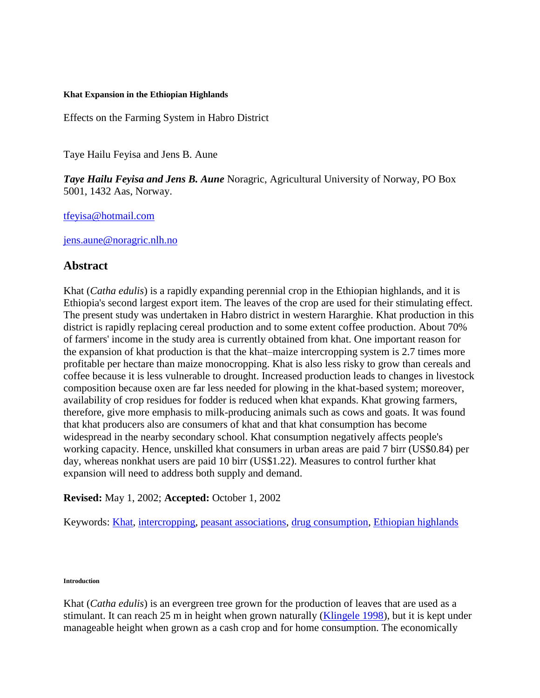### **Khat Expansion in the Ethiopian Highlands**

Effects on the Farming System in Habro District

Taye Hailu Feyisa and Jens B. Aune

*Taye Hailu Feyisa and Jens B. Aune* Noragric, Agricultural University of Norway, PO Box 5001, 1432 Aas, Norway.

[tfeyisa@hotmail.com](mailto:tfeyisa@hotmail.com)

[jens.aune@noragric.nlh.no](mailto:jens.aune@noragric.nlh.no)

# **Abstract**

Khat (*Catha edulis*) is a rapidly expanding perennial crop in the Ethiopian highlands, and it is Ethiopia's second largest export item. The leaves of the crop are used for their stimulating effect. The present study was undertaken in Habro district in western Hararghie. Khat production in this district is rapidly replacing cereal production and to some extent coffee production. About 70% of farmers' income in the study area is currently obtained from khat. One important reason for the expansion of khat production is that the khat–maize intercropping system is 2.7 times more profitable per hectare than maize monocropping. Khat is also less risky to grow than cereals and coffee because it is less vulnerable to drought. Increased production leads to changes in livestock composition because oxen are far less needed for plowing in the khat-based system; moreover, availability of crop residues for fodder is reduced when khat expands. Khat growing farmers, therefore, give more emphasis to milk-producing animals such as cows and goats. It was found that khat producers also are consumers of khat and that khat consumption has become widespread in the nearby secondary school. Khat consumption negatively affects people's working capacity. Hence, unskilled khat consumers in urban areas are paid 7 birr (US\$0.84) per day, whereas nonkhat users are paid 10 birr (US\$1.22). Measures to control further khat expansion will need to address both supply and demand.

## **Revised:** May 1, 2002; **Accepted:** October 1, 2002

Keywords: [Khat,](http://www.bioone.org/action/doSearch?action=runSearch&type=advanced&result=true&prevSearch=keywordsfield%3A%28%22Khat%22%29) [intercropping,](http://www.bioone.org/action/doSearch?action=runSearch&type=advanced&result=true&prevSearch=keywordsfield%3A%28%22intercropping%22%29) [peasant associations,](http://www.bioone.org/action/doSearch?action=runSearch&type=advanced&result=true&prevSearch=keywordsfield%3A%28%22peasant%20associations%22%29) [drug consumption,](http://www.bioone.org/action/doSearch?action=runSearch&type=advanced&result=true&prevSearch=keywordsfield%3A%28%22drug%20consumption%22%29) [Ethiopian highlands](http://www.bioone.org/action/doSearch?action=runSearch&type=advanced&result=true&prevSearch=keywordsfield%3A%28%22Ethiopian%20highlands%22%29)

#### **Introduction**

Khat (*Catha edulis*) is an evergreen tree grown for the production of leaves that are used as a stimulant. It can reach 25 m in height when grown naturally [\(Klingele 1998\)](javascript:void(0);), but it is kept under manageable height when grown as a cash crop and for home consumption. The economically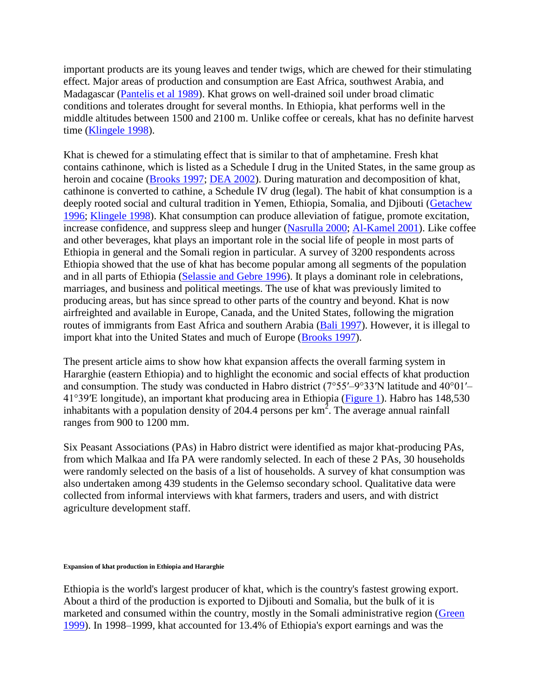important products are its young leaves and tender twigs, which are chewed for their stimulating effect. Major areas of production and consumption are East Africa, southwest Arabia, and Madagascar [\(Pantelis et al 1989\)](javascript:void(0);). Khat grows on well-drained soil under broad climatic conditions and tolerates drought for several months. In Ethiopia, khat performs well in the middle altitudes between 1500 and 2100 m. Unlike coffee or cereals, khat has no definite harvest time [\(Klingele 1998\)](javascript:void(0);).

Khat is chewed for a stimulating effect that is similar to that of amphetamine. Fresh khat contains cathinone, which is listed as a Schedule I drug in the United States, in the same group as heroin and cocaine [\(Brooks 1997; DEA 2002\)](javascript:void(0);). During maturation and decomposition of khat, cathinone is converted to cathine, a Schedule IV drug (legal). The habit of khat consumption is a deeply rooted social and cultural tradition in Yemen, Ethiopia, Somalia, and Djibouti [\(Getachew](javascript:void(0);)  [1996; Klingele 1998\)](javascript:void(0);). Khat consumption can produce alleviation of fatigue, promote excitation, increase confidence, and suppress sleep and hunger [\(Nasrulla 2000; Al-Kamel 2001\)](javascript:void(0);). Like coffee and other beverages, khat plays an important role in the social life of people in most parts of Ethiopia in general and the Somali region in particular. A survey of 3200 respondents across Ethiopia showed that the use of khat has become popular among all segments of the population and in all parts of Ethiopia [\(Selassie and Gebre 1996\)](javascript:void(0);). It plays a dominant role in celebrations, marriages, and business and political meetings. The use of khat was previously limited to producing areas, but has since spread to other parts of the country and beyond. Khat is now airfreighted and available in Europe, Canada, and the United States, following the migration routes of immigrants from East Africa and southern Arabia [\(Bali 1997\)](javascript:void(0);). However, it is illegal to import khat into the United States and much of Europe [\(Brooks 1997\)](javascript:void(0);).

The present article aims to show how khat expansion affects the overall farming system in Hararghie (eastern Ethiopia) and to highlight the economic and social effects of khat production and consumption. The study was conducted in Habro district (7°55′–9°33′N latitude and 40°01′– 41°39′E longitude), an important khat producing area in Ethiopia [\(Figure 1\)](http://www.bioone.org/action/showFullPopup?doi=10.1659%2F0276-4741%282003%29023%5B0185%3AKEITEH%5D2.0.CO%3B2&id=i0276-4741-23-2-185-f01). Habro has 148,530 inhabitants with a population density of 204.4 persons per  $km^2$ . The average annual rainfall ranges from 900 to 1200 mm.

Six Peasant Associations (PAs) in Habro district were identified as major khat-producing PAs, from which Malkaa and Ifa PA were randomly selected. In each of these 2 PAs, 30 households were randomly selected on the basis of a list of households. A survey of khat consumption was also undertaken among 439 students in the Gelemso secondary school. Qualitative data were collected from informal interviews with khat farmers, traders and users, and with district agriculture development staff.

#### **Expansion of khat production in Ethiopia and Hararghie**

Ethiopia is the world's largest producer of khat, which is the country's fastest growing export. About a third of the production is exported to Djibouti and Somalia, but the bulk of it is marketed and consumed within the country, mostly in the Somali administrative region [\(Green](javascript:void(0);)  [1999\)](javascript:void(0);). In 1998–1999, khat accounted for 13.4% of Ethiopia's export earnings and was the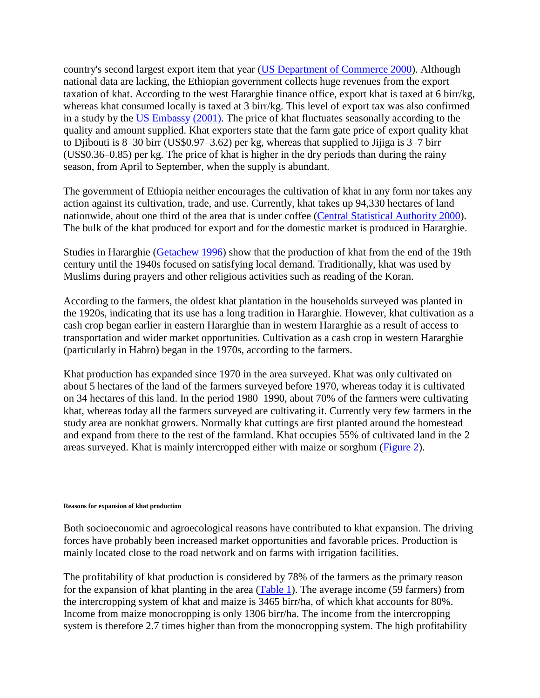country's second largest export item that year [\(US Department of Commerce 2000\)](javascript:void(0);). Although national data are lacking, the Ethiopian government collects huge revenues from the export taxation of khat. According to the west Hararghie finance office, export khat is taxed at 6 birr/kg, whereas khat consumed locally is taxed at 3 birr/kg. This level of export tax was also confirmed in a study by the [US Embassy \(2001\).](javascript:void(0);) The price of khat fluctuates seasonally according to the quality and amount supplied. Khat exporters state that the farm gate price of export quality khat to Djibouti is 8–30 birr (US\$0.97–3.62) per kg, whereas that supplied to Jijiga is 3–7 birr (US\$0.36–0.85) per kg. The price of khat is higher in the dry periods than during the rainy season, from April to September, when the supply is abundant.

The government of Ethiopia neither encourages the cultivation of khat in any form nor takes any action against its cultivation, trade, and use. Currently, khat takes up 94,330 hectares of land nationwide, about one third of the area that is under coffee [\(Central Statistical Authority 2000\)](javascript:void(0);). The bulk of the khat produced for export and for the domestic market is produced in Hararghie.

Studies in Hararghie [\(Getachew 1996\)](javascript:void(0);) show that the production of khat from the end of the 19th century until the 1940s focused on satisfying local demand. Traditionally, khat was used by Muslims during prayers and other religious activities such as reading of the Koran.

According to the farmers, the oldest khat plantation in the households surveyed was planted in the 1920s, indicating that its use has a long tradition in Hararghie. However, khat cultivation as a cash crop began earlier in eastern Hararghie than in western Hararghie as a result of access to transportation and wider market opportunities. Cultivation as a cash crop in western Hararghie (particularly in Habro) began in the 1970s, according to the farmers.

Khat production has expanded since 1970 in the area surveyed. Khat was only cultivated on about 5 hectares of the land of the farmers surveyed before 1970, whereas today it is cultivated on 34 hectares of this land. In the period 1980–1990, about 70% of the farmers were cultivating khat, whereas today all the farmers surveyed are cultivating it. Currently very few farmers in the study area are nonkhat growers. Normally khat cuttings are first planted around the homestead and expand from there to the rest of the farmland. Khat occupies 55% of cultivated land in the 2 areas surveyed. Khat is mainly intercropped either with maize or sorghum [\(Figure 2\)](http://www.bioone.org/action/showFullPopup?doi=10.1659%2F0276-4741%282003%29023%5B0185%3AKEITEH%5D2.0.CO%3B2&id=i0276-4741-23-2-185-f02).

#### **Reasons for expansion of khat production**

Both socioeconomic and agroecological reasons have contributed to khat expansion. The driving forces have probably been increased market opportunities and favorable prices. Production is mainly located close to the road network and on farms with irrigation facilities.

The profitability of khat production is considered by 78% of the farmers as the primary reason for the expansion of khat planting in the area  $(Table 1)$ . The average income (59 farmers) from the intercropping system of khat and maize is 3465 birr/ha, of which khat accounts for 80%. Income from maize monocropping is only 1306 birr/ha. The income from the intercropping system is therefore 2.7 times higher than from the monocropping system. The high profitability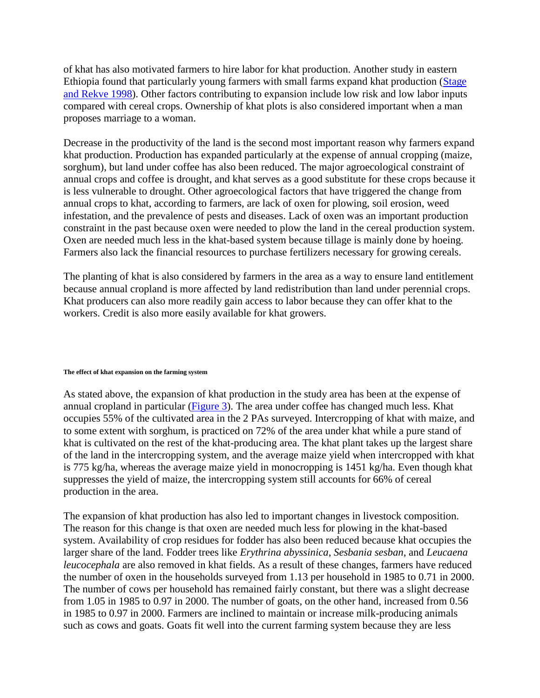of khat has also motivated farmers to hire labor for khat production. Another study in eastern Ethiopia found that particularly young farmers with small farms expand khat production [\(Stage](javascript:void(0);)  [and Rekve 1998\)](javascript:void(0);). Other factors contributing to expansion include low risk and low labor inputs compared with cereal crops. Ownership of khat plots is also considered important when a man proposes marriage to a woman.

Decrease in the productivity of the land is the second most important reason why farmers expand khat production. Production has expanded particularly at the expense of annual cropping (maize, sorghum), but land under coffee has also been reduced. The major agroecological constraint of annual crops and coffee is drought, and khat serves as a good substitute for these crops because it is less vulnerable to drought. Other agroecological factors that have triggered the change from annual crops to khat, according to farmers, are lack of oxen for plowing, soil erosion, weed infestation, and the prevalence of pests and diseases. Lack of oxen was an important production constraint in the past because oxen were needed to plow the land in the cereal production system. Oxen are needed much less in the khat-based system because tillage is mainly done by hoeing. Farmers also lack the financial resources to purchase fertilizers necessary for growing cereals.

The planting of khat is also considered by farmers in the area as a way to ensure land entitlement because annual cropland is more affected by land redistribution than land under perennial crops. Khat producers can also more readily gain access to labor because they can offer khat to the workers. Credit is also more easily available for khat growers.

#### **The effect of khat expansion on the farming system**

As stated above, the expansion of khat production in the study area has been at the expense of annual cropland in particular [\(Figure 3\)](http://www.bioone.org/action/showFullPopup?doi=10.1659%2F0276-4741%282003%29023%5B0185%3AKEITEH%5D2.0.CO%3B2&id=i0276-4741-23-2-185-f03). The area under coffee has changed much less. Khat occupies 55% of the cultivated area in the 2 PAs surveyed. Intercropping of khat with maize, and to some extent with sorghum, is practiced on 72% of the area under khat while a pure stand of khat is cultivated on the rest of the khat-producing area. The khat plant takes up the largest share of the land in the intercropping system, and the average maize yield when intercropped with khat is 775 kg/ha, whereas the average maize yield in monocropping is 1451 kg/ha. Even though khat suppresses the yield of maize, the intercropping system still accounts for 66% of cereal production in the area.

The expansion of khat production has also led to important changes in livestock composition. The reason for this change is that oxen are needed much less for plowing in the khat-based system. Availability of crop residues for fodder has also been reduced because khat occupies the larger share of the land. Fodder trees like *Erythrina abyssinica*, *Sesbania sesban*, and *Leucaena leucocephala* are also removed in khat fields. As a result of these changes, farmers have reduced the number of oxen in the households surveyed from 1.13 per household in 1985 to 0.71 in 2000. The number of cows per household has remained fairly constant, but there was a slight decrease from 1.05 in 1985 to 0.97 in 2000. The number of goats, on the other hand, increased from 0.56 in 1985 to 0.97 in 2000. Farmers are inclined to maintain or increase milk-producing animals such as cows and goats. Goats fit well into the current farming system because they are less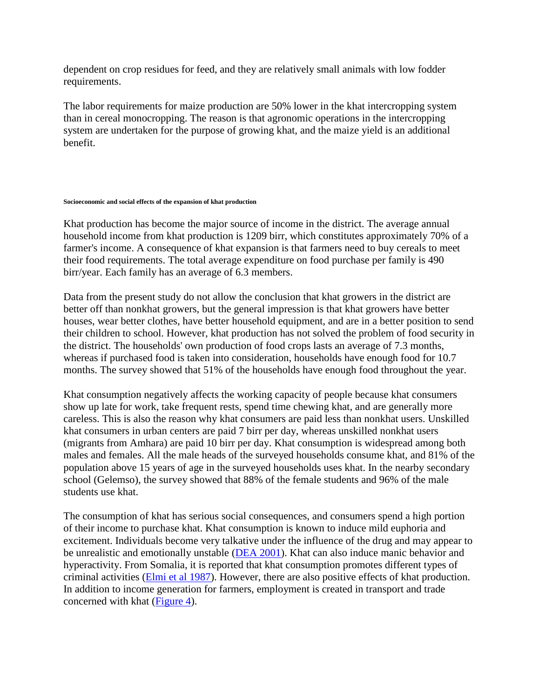dependent on crop residues for feed, and they are relatively small animals with low fodder requirements.

The labor requirements for maize production are 50% lower in the khat intercropping system than in cereal monocropping. The reason is that agronomic operations in the intercropping system are undertaken for the purpose of growing khat, and the maize yield is an additional benefit.

#### **Socioeconomic and social effects of the expansion of khat production**

Khat production has become the major source of income in the district. The average annual household income from khat production is 1209 birr, which constitutes approximately 70% of a farmer's income. A consequence of khat expansion is that farmers need to buy cereals to meet their food requirements. The total average expenditure on food purchase per family is 490 birr/year. Each family has an average of 6.3 members.

Data from the present study do not allow the conclusion that khat growers in the district are better off than nonkhat growers, but the general impression is that khat growers have better houses, wear better clothes, have better household equipment, and are in a better position to send their children to school. However, khat production has not solved the problem of food security in the district. The households' own production of food crops lasts an average of 7.3 months, whereas if purchased food is taken into consideration, households have enough food for 10.7 months. The survey showed that 51% of the households have enough food throughout the year.

Khat consumption negatively affects the working capacity of people because khat consumers show up late for work, take frequent rests, spend time chewing khat, and are generally more careless. This is also the reason why khat consumers are paid less than nonkhat users. Unskilled khat consumers in urban centers are paid 7 birr per day, whereas unskilled nonkhat users (migrants from Amhara) are paid 10 birr per day. Khat consumption is widespread among both males and females. All the male heads of the surveyed households consume khat, and 81% of the population above 15 years of age in the surveyed households uses khat. In the nearby secondary school (Gelemso), the survey showed that 88% of the female students and 96% of the male students use khat.

The consumption of khat has serious social consequences, and consumers spend a high portion of their income to purchase khat. Khat consumption is known to induce mild euphoria and excitement. Individuals become very talkative under the influence of the drug and may appear to be unrealistic and emotionally unstable [\(DEA 2001\)](javascript:void(0);). Khat can also induce manic behavior and hyperactivity. From Somalia, it is reported that khat consumption promotes different types of criminal activities [\(Elmi et al 1987\)](javascript:void(0);). However, there are also positive effects of khat production. In addition to income generation for farmers, employment is created in transport and trade concerned with khat [\(Figure 4\)](http://www.bioone.org/action/showFullPopup?doi=10.1659%2F0276-4741%282003%29023%5B0185%3AKEITEH%5D2.0.CO%3B2&id=i0276-4741-23-2-185-f04).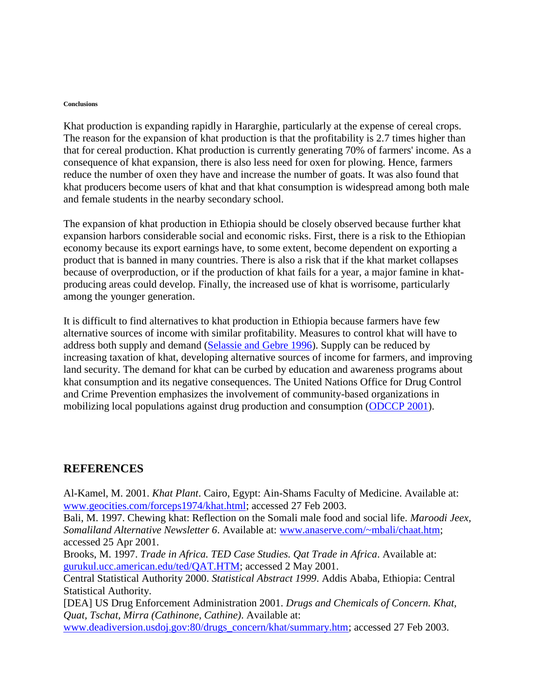#### **Conclusions**

Khat production is expanding rapidly in Hararghie, particularly at the expense of cereal crops. The reason for the expansion of khat production is that the profitability is 2.7 times higher than that for cereal production. Khat production is currently generating 70% of farmers' income. As a consequence of khat expansion, there is also less need for oxen for plowing. Hence, farmers reduce the number of oxen they have and increase the number of goats. It was also found that khat producers become users of khat and that khat consumption is widespread among both male and female students in the nearby secondary school.

The expansion of khat production in Ethiopia should be closely observed because further khat expansion harbors considerable social and economic risks. First, there is a risk to the Ethiopian economy because its export earnings have, to some extent, become dependent on exporting a product that is banned in many countries. There is also a risk that if the khat market collapses because of overproduction, or if the production of khat fails for a year, a major famine in khatproducing areas could develop. Finally, the increased use of khat is worrisome, particularly among the younger generation.

It is difficult to find alternatives to khat production in Ethiopia because farmers have few alternative sources of income with similar profitability. Measures to control khat will have to address both supply and demand [\(Selassie and Gebre 1996\)](javascript:void(0);). Supply can be reduced by increasing taxation of khat, developing alternative sources of income for farmers, and improving land security. The demand for khat can be curbed by education and awareness programs about khat consumption and its negative consequences. The United Nations Office for Drug Control and Crime Prevention emphasizes the involvement of community-based organizations in mobilizing local populations against drug production and consumption [\(ODCCP 2001\)](javascript:void(0);).

## **REFERENCES**

Al-Kamel, M. 2001. *Khat Plant*. Cairo, Egypt: Ain-Shams Faculty of Medicine. Available at: [www.geocities.com/forceps1974/khat.html;](http://www.geocities.com/forceps1974/khat.html) accessed 27 Feb 2003.

Bali, M. 1997. Chewing khat: Reflection on the Somali male food and social life. *Maroodi Jeex, Somaliland Alternative Newsletter 6*. Available at: [www.anaserve.com/~mbali/chaat.htm;](http://www.anaserve.com/~mbali/chaat.htm) accessed 25 Apr 2001.

Brooks, M. 1997. *Trade in Africa. TED Case Studies. Qat Trade in Africa*. Available at: [gurukul.ucc.american.edu/ted/QAT.HTM;](http://gurukul.ucc.american.edu/ted/QAT.HTM) accessed 2 May 2001.

Central Statistical Authority 2000. *Statistical Abstract 1999*. Addis Ababa, Ethiopia: Central Statistical Authority.

[DEA] US Drug Enforcement Administration 2001. *Drugs and Chemicals of Concern. Khat, Quat, Tschat, Mirra (Cathinone, Cathine)*. Available at:

[www.deadiversion.usdoj.gov:80/drugs\\_concern/khat/summary.htm;](http://www.deadiversion.usdoj.gov/drugs_concern/khat/summary.htm) accessed 27 Feb 2003.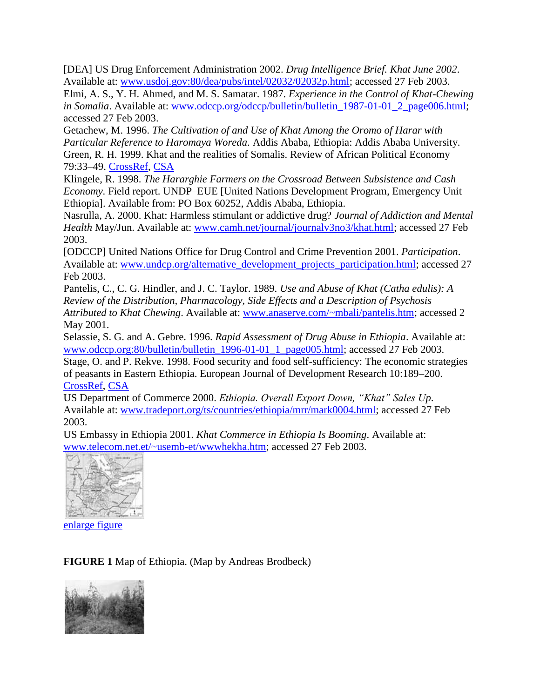[DEA] US Drug Enforcement Administration 2002. *Drug Intelligence Brief. Khat June 2002*. Available at: [www.usdoj.gov:80/dea/pubs/intel/02032/02032p.html;](http://www.usdoj.gov/dea/pubs/intel/02032/02032p.html) accessed 27 Feb 2003.

Elmi, A. S., Y. H. Ahmed, and M. S. Samatar. 1987. *Experience in the Control of Khat-Chewing in Somalia*. Available at: [www.odccp.org/odccp/bulletin/bulletin\\_1987-01-01\\_2\\_page006.html;](http://www.odccp.org/odccp/bulletin/bulletin_1987-01-01_2_page006.html) accessed 27 Feb 2003.

Getachew, M. 1996. *The Cultivation of and Use of Khat Among the Oromo of Harar with Particular Reference to Haromaya Woreda*. Addis Ababa, Ethiopia: Addis Ababa University. Green, R. H. 1999. Khat and the realities of Somalis. Review of African Political Economy 79:33–49. [CrossRef,](http://www.bioone.org/servlet/linkout?suffix=i0276-4741-23-2-185-Green1&dbid=16&doi=10.1659%2F0276-4741%282003%29023%5B0185%3AKEITEH%5D2.0.CO%3B2&key=10.1080%2F03056249908704359) [CSA](http://www.bioone.org/servlet/linkout?suffix=i0276-4741-23-2-185-Green1&dbid=256&doi=10.1659%2F0276-4741%282003%29023%5B0185%3AKEITEH%5D2.0.CO%3B2&key=issn%3D0305-6244%26vol%3D79%26firstpage%3D33)

Klingele, R. 1998. *The Hararghie Farmers on the Crossroad Between Subsistence and Cash Economy*. Field report. UNDP–EUE [United Nations Development Program, Emergency Unit Ethiopia]. Available from: PO Box 60252, Addis Ababa, Ethiopia.

Nasrulla, A. 2000. Khat: Harmless stimulant or addictive drug? *Journal of Addiction and Mental Health* May/Jun. Available at: [www.camh.net/journal/journalv3no3/khat.html;](http://www.camh.net/journal/journalv3no3/khat.html) accessed 27 Feb 2003.

[ODCCP] United Nations Office for Drug Control and Crime Prevention 2001. *Participation*. Available at: [www.undcp.org/alternative\\_development\\_projects\\_participation.html;](http://www.undcp.org/alternative_development_projects_participation.html) accessed 27 Feb 2003.

Pantelis, C., C. G. Hindler, and J. C. Taylor. 1989. *Use and Abuse of Khat (Catha edulis): A Review of the Distribution, Pharmacology, Side Effects and a Description of Psychosis Attributed to Khat Chewing*. Available at: [www.anaserve.com/~mbali/pantelis.htm;](http://www.anaserve.com/~mbali/pantelis.htm) accessed 2 May 2001.

Selassie, S. G. and A. Gebre. 1996. *Rapid Assessment of Drug Abuse in Ethiopia*. Available at: [www.odccp.org:80/bulletin/bulletin\\_1996-01-01\\_1\\_page005.html;](http://www.odccp.org/bulletin/bulletin_1996-01-01_1_page005.html) accessed 27 Feb 2003. Stage, O. and P. Rekve. 1998. Food security and food self-sufficiency: The economic strategies of peasants in Eastern Ethiopia. European Journal of Development Research 10:189–200.

# [CrossRef,](http://www.bioone.org/servlet/linkout?suffix=i0276-4741-23-2-185-Stage1&dbid=16&doi=10.1659%2F0276-4741%282003%29023%5B0185%3AKEITEH%5D2.0.CO%3B2&key=10.1080%2F09578819808426707) [CSA](http://www.bioone.org/servlet/linkout?suffix=i0276-4741-23-2-185-Stage1&dbid=256&doi=10.1659%2F0276-4741%282003%29023%5B0185%3AKEITEH%5D2.0.CO%3B2&key=issn%3D0957-8811%26vol%3D10%26firstpage%3D189)

US Department of Commerce 2000. *Ethiopia. Overall Export Down, "Khat" Sales Up*. Available at: [www.tradeport.org/ts/countries/ethiopia/mrr/mark0004.html;](http://www.tradeport.org/ts/countries/ethiopia/mrr/mark0004.html) accessed 27 Feb 2003.

US Embassy in Ethiopia 2001. *Khat Commerce in Ethiopia Is Booming*. Available at: [www.telecom.net.et/~usemb-et/wwwhekha.htm;](http://www.telecom.net.et/~usemb-et/wwwhekha.htm) accessed 27 Feb 2003.



[enlarge figure](http://www.bioone.org/action/showFullPopup?doi=10.1659%2F0276-4741%282003%29023%5B0185%3AKEITEH%5D2.0.CO%3B2&id=i0276-4741-23-2-185-f01)

**FIGURE 1** Map of Ethiopia. (Map by Andreas Brodbeck)

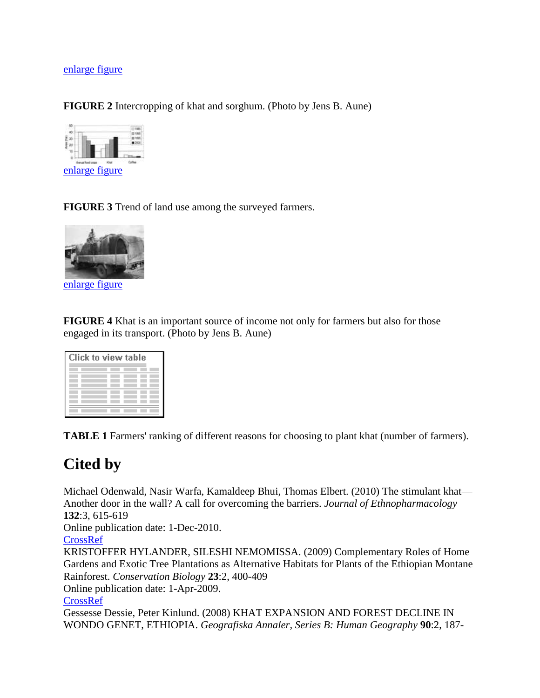## enlarge figure

**FIGURE 2** Intercropping of khat and sorghum. (Photo by Jens B. Aune)



**FIGURE 3** Trend of land use among the surveyed farmers.



[enlarge figure](http://www.bioone.org/action/showFullPopup?doi=10.1659%2F0276-4741%282003%29023%5B0185%3AKEITEH%5D2.0.CO%3B2&id=i0276-4741-23-2-185-f04)

**FIGURE 4** Khat is an important source of income not only for farmers but also for those engaged in its transport. (Photo by Jens B. Aune)

| Click to view table |  |  |  |
|---------------------|--|--|--|
|                     |  |  |  |
|                     |  |  |  |
|                     |  |  |  |
|                     |  |  |  |
|                     |  |  |  |
|                     |  |  |  |

**TABLE 1** Farmers' ranking of different reasons for choosing to plant khat (number of farmers).

# **Cited by**

Michael Odenwald, Nasir Warfa, Kamaldeep Bhui, Thomas Elbert. (2010) The stimulant khat— Another door in the wall? A call for overcoming the barriers. *Journal of Ethnopharmacology* **132**:3, 615-619 Online publication date: 1-Dec-2010. [CrossRef](http://dx.doi.org/10.1016/j.jep.2009.11.005)  KRISTOFFER HYLANDER, SILESHI NEMOMISSA. (2009) Complementary Roles of Home

Gardens and Exotic Tree Plantations as Alternative Habitats for Plants of the Ethiopian Montane Rainforest. *Conservation Biology* **23**:2, 400-409

Online publication date: 1-Apr-2009.

## [CrossRef](http://dx.doi.org/10.1111/j.1523-1739.2008.01097.x)

Gessesse Dessie, Peter Kinlund. (2008) KHAT EXPANSION AND FOREST DECLINE IN WONDO GENET, ETHIOPIA. *Geografiska Annaler, Series B: Human Geography* **90**:2, 187